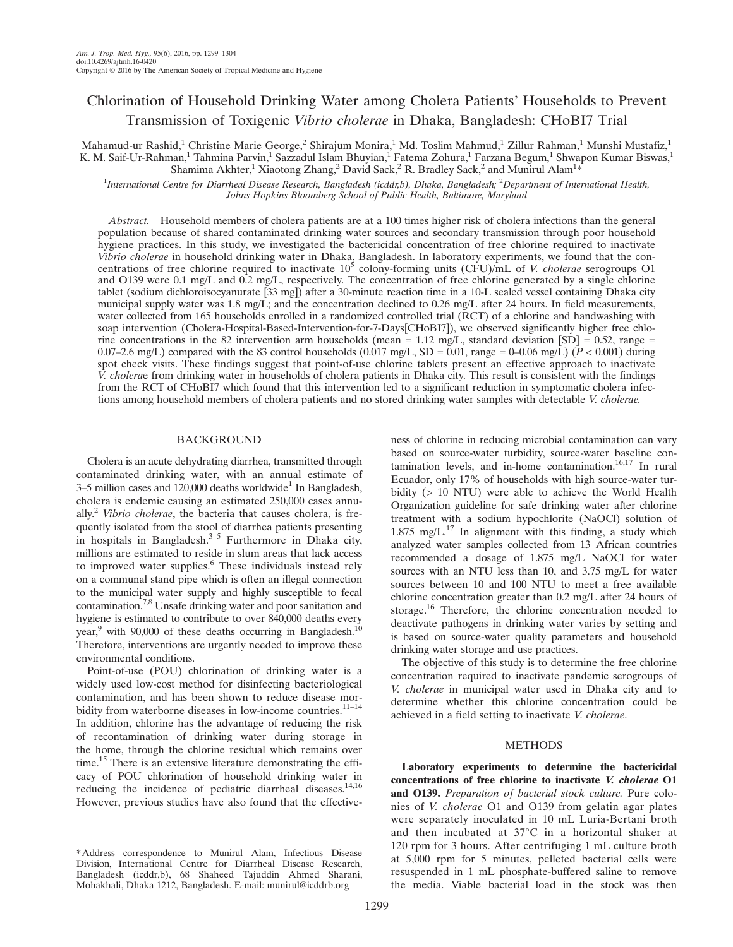# Chlorination of Household Drinking Water among Cholera Patients' Households to Prevent Transmission of Toxigenic Vibrio cholerae in Dhaka, Bangladesh: CHoBI7 Trial

Mahamud-ur Rashid,<sup>1</sup> Christine Marie George,<sup>2</sup> Shirajum Monira,<sup>1</sup> Md. Toslim Mahmud,<sup>1</sup> Zillur Rahman,<sup>1</sup> Munshi Mustafiz,<sup>1</sup> K. M. Saif-Ur-Rahman,<sup>1</sup> Tahmina Parvin,<sup>1</sup> Sazzadul Islam Bhuyian,<sup>1</sup> Fatema Zohura,<sup>1</sup> Farzana Begum,<sup>1</sup> Shwapon Kumar Biswas,<sup>1</sup> Shamima Akhter,<sup>1</sup> Xiaotong Zhang,<sup>2</sup> David Sack,<sup>2</sup> R. Bradley Sack,<sup>2</sup> and Munirul Alam<sup>1\*</sup>

<sup>1</sup>International Centre for Diarrheal Disease Research, Bangladesh (icddr,b), Dhaka, Bangladesh; <sup>2</sup>Department of International Health, Johns Hopkins Bloomberg School of Public Health, Baltimore, Maryland

Abstract. Household members of cholera patients are at a 100 times higher risk of cholera infections than the general population because of shared contaminated drinking water sources and secondary transmission through poor household hygiene practices. In this study, we investigated the bactericidal concentration of free chlorine required to inactivate Vibrio cholerae in household drinking water in Dhaka, Bangladesh. In laboratory experiments, we found that the concentrations of free chlorine required to inactivate  $10^5$  colony-forming units (CFU)/mL of V. cholerae serogroups O1 and O139 were 0.1 mg/L and 0.2 mg/L, respectively. The concentration of free chlorine generated by a single chlorine tablet (sodium dichloroisocyanurate [33 mg]) after a 30-minute reaction time in a 10-L sealed vessel containing Dhaka city municipal supply water was 1.8 mg/L; and the concentration declined to 0.26 mg/L after 24 hours. In field measurements, water collected from 165 households enrolled in a randomized controlled trial (RCT) of a chlorine and handwashing with soap intervention (Cholera-Hospital-Based-Intervention-for-7-Days[CHoBI7]), we observed significantly higher free chlorine concentrations in the 82 intervention arm households (mean = 1.12 mg/L, standard deviation  $|SD| = 0.52$ , range = 0.07–2.6 mg/L) compared with the 83 control households  $(0.017 \text{ mg/L}, SD = 0.01$ , range = 0–0.06 mg/L)  $(P < 0.001)$  during spot check visits. These findings suggest that point-of-use chlorine tablets present an effective approach to inactivate  $\hat{V}$ . *cholerae* from drinking water in households of cholera patients in Dhaka city. This result is consistent with the findings from the RCT of CHoBI7 which found that this intervention led to a significant reduction in symptomatic cholera infections among household members of cholera patients and no stored drinking water samples with detectable V. cholerae.

## BACKGROUND

Cholera is an acute dehydrating diarrhea, transmitted through contaminated drinking water, with an annual estimate of 3–5 million cases and  $120,000$  deaths worldwide<sup>1</sup> In Bangladesh, cholera is endemic causing an estimated 250,000 cases annually.<sup>2</sup> Vibrio cholerae, the bacteria that causes cholera, is frequently isolated from the stool of diarrhea patients presenting in hospitals in Bangladesh.<sup>3–5</sup> Furthermore in Dhaka city, millions are estimated to reside in slum areas that lack access to improved water supplies.<sup>6</sup> These individuals instead rely on a communal stand pipe which is often an illegal connection to the municipal water supply and highly susceptible to fecal contamination.7,8 Unsafe drinking water and poor sanitation and hygiene is estimated to contribute to over 840,000 deaths every year,<sup>9</sup> with 90,000 of these deaths occurring in Bangladesh.<sup>10</sup> Therefore, interventions are urgently needed to improve these environmental conditions.

Point-of-use (POU) chlorination of drinking water is a widely used low-cost method for disinfecting bacteriological contamination, and has been shown to reduce disease morbidity from waterborne diseases in low-income countries.<sup>11-14</sup> In addition, chlorine has the advantage of reducing the risk of recontamination of drinking water during storage in the home, through the chlorine residual which remains over time.<sup>15</sup> There is an extensive literature demonstrating the efficacy of POU chlorination of household drinking water in reducing the incidence of pediatric diarrheal diseases.<sup>14,16</sup> However, previous studies have also found that the effectiveness of chlorine in reducing microbial contamination can vary based on source-water turbidity, source-water baseline contamination levels, and in-home contamination.<sup>16,17</sup> In rural Ecuador, only 17% of households with high source-water turbidity (> 10 NTU) were able to achieve the World Health Organization guideline for safe drinking water after chlorine treatment with a sodium hypochlorite (NaOCl) solution of 1.875 mg/ $L^{17}$  In alignment with this finding, a study which analyzed water samples collected from 13 African countries recommended a dosage of 1.875 mg/L NaOCl for water sources with an NTU less than 10, and 3.75 mg/L for water sources between 10 and 100 NTU to meet a free available chlorine concentration greater than 0.2 mg/L after 24 hours of storage.<sup>16</sup> Therefore, the chlorine concentration needed to deactivate pathogens in drinking water varies by setting and is based on source-water quality parameters and household drinking water storage and use practices.

The objective of this study is to determine the free chlorine concentration required to inactivate pandemic serogroups of V. cholerae in municipal water used in Dhaka city and to determine whether this chlorine concentration could be achieved in a field setting to inactivate V. cholerae.

## METHODS

Laboratory experiments to determine the bactericidal concentrations of free chlorine to inactivate V. cholerae O1 and O139. Preparation of bacterial stock culture. Pure colonies of V. cholerae O1 and O139 from gelatin agar plates were separately inoculated in 10 mL Luria-Bertani broth and then incubated at 37°C in a horizontal shaker at 120 rpm for 3 hours. After centrifuging 1 mL culture broth at 5,000 rpm for 5 minutes, pelleted bacterial cells were resuspended in 1 mL phosphate-buffered saline to remove the media. Viable bacterial load in the stock was then

<sup>\*</sup>Address correspondence to Munirul Alam, Infectious Disease Division, International Centre for Diarrheal Disease Research, Bangladesh (icddr,b), 68 Shaheed Tajuddin Ahmed Sharani, Mohakhali, Dhaka 1212, Bangladesh. E-mail: munirul@icddrb.org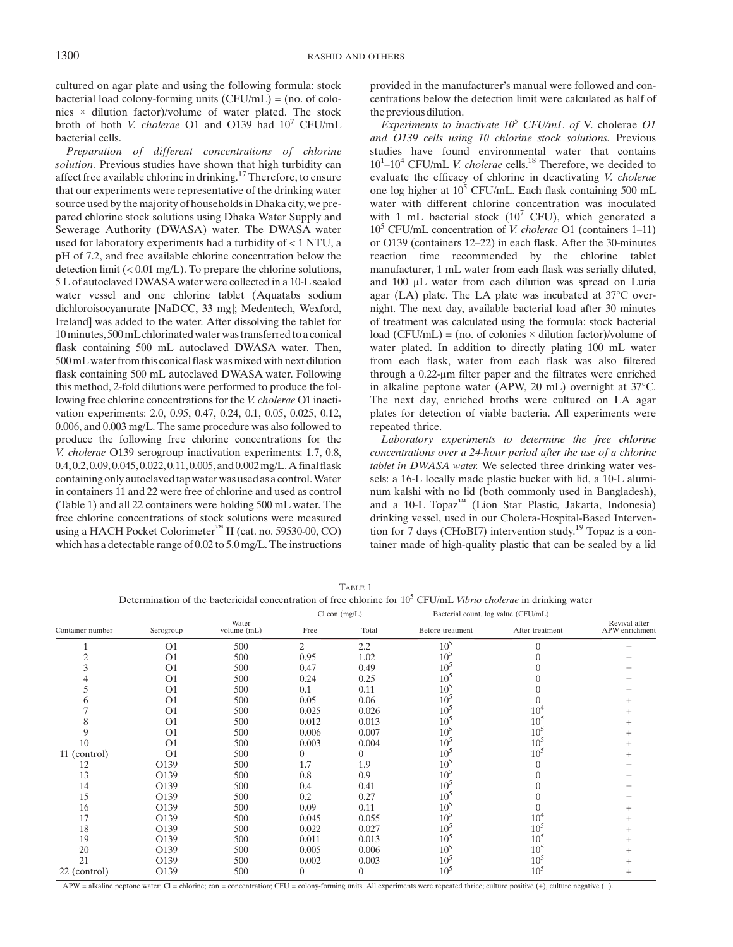cultured on agar plate and using the following formula: stock bacterial load colony-forming units  $(CFU/mL) = (no. of colo$ nies × dilution factor)/volume of water plated. The stock broth of both V. cholerae O1 and O139 had 10<sup>7</sup> CFU/mL bacterial cells.

Preparation of different concentrations of chlorine solution. Previous studies have shown that high turbidity can affect free available chlorine in drinking.<sup>17</sup> Therefore, to ensure that our experiments were representative of the drinking water source used by the majority of households in Dhaka city, we prepared chlorine stock solutions using Dhaka Water Supply and Sewerage Authority (DWASA) water. The DWASA water used for laboratory experiments had a turbidity of  $< 1$  NTU, a pH of 7.2, and free available chlorine concentration below the detection limit (< 0.01 mg/L). To prepare the chlorine solutions, 5 L of autoclaved DWASAwater were collected in a 10-L sealed water vessel and one chlorine tablet (Aquatabs sodium dichloroisocyanurate [NaDCC, 33 mg]; Medentech, Wexford, Ireland] was added to the water. After dissolving the tablet for 10minutes, 500mL chlorinated water was transferred to a conical flask containing 500 mL autoclaved DWASA water. Then, 500 mL water from this conical flask was mixed with next dilution flask containing 500 mL autoclaved DWASA water. Following this method, 2-fold dilutions were performed to produce the following free chlorine concentrations for the V. cholerae O1 inactivation experiments: 2.0, 0.95, 0.47, 0.24, 0.1, 0.05, 0.025, 0.12, 0.006, and 0.003 mg/L. The same procedure was also followed to produce the following free chlorine concentrations for the V. cholerae O139 serogroup inactivation experiments: 1.7, 0.8, 0.4, 0.2, 0.09, 0.045, 0.022, 0.11, 0.005, and 0.002mg/L.A final flask containing only autoclaved tap water was used as a control.Water in containers 11 and 22 were free of chlorine and used as control (Table 1) and all 22 containers were holding 500 mL water. The free chlorine concentrations of stock solutions were measured using a HACH Pocket Colorimeter™ II (cat. no. 59530-00, CO) which has a detectable range of 0.02 to 5.0 mg/L. The instructions

provided in the manufacturer's manual were followed and concentrations below the detection limit were calculated as half of the previous dilution.

Experiments to inactivate  $10^5$  CFU/mL of V. cholerae O1 and O139 cells using 10 chlorine stock solutions. Previous studies have found environmental water that contains  $10^1 - 10^4$  CFU/mL V. cholerae cells.<sup>18</sup> Therefore, we decided to evaluate the efficacy of chlorine in deactivating V. cholerae one log higher at  $10^5$  CFU/mL. Each flask containing 500 mL water with different chlorine concentration was inoculated with 1 mL bacterial stock  $(10^7 \text{ CFU})$ , which generated a  $10<sup>5</sup> CFU/mL$  concentration of *V. cholerae* O1 (containers 1–11) or O139 (containers 12–22) in each flask. After the 30-minutes reaction time recommended by the chlorine tablet manufacturer, 1 mL water from each flask was serially diluted, and 100 μL water from each dilution was spread on Luria agar (LA) plate. The LA plate was incubated at 37°C overnight. The next day, available bacterial load after 30 minutes of treatment was calculated using the formula: stock bacterial load (CFU/mL) = (no. of colonies  $\times$  dilution factor)/volume of water plated. In addition to directly plating 100 mL water from each flask, water from each flask was also filtered through a 0.22-μm filter paper and the filtrates were enriched in alkaline peptone water (APW, 20 mL) overnight at 37°C. The next day, enriched broths were cultured on LA agar plates for detection of viable bacteria. All experiments were repeated thrice.

Laboratory experiments to determine the free chlorine concentrations over a 24-hour period after the use of a chlorine tablet in DWASA water. We selected three drinking water vessels: a 16-L locally made plastic bucket with lid, a 10-L aluminum kalshi with no lid (both commonly used in Bangladesh), and a 10-L Topaz™ (Lion Star Plastic, Jakarta, Indonesia) drinking vessel, used in our Cholera-Hospital-Based Intervention for 7 days (CHoBI7) intervention study.<sup>19</sup> Topaz is a container made of high-quality plastic that can be sealed by a lid

TABLE 1 Determination of the bactericidal concentration of free chlorine for  $10^5$  CFU/mL Vibrio cholerae in drinking water

| Container number | Serogroup      | Water<br>volume (mL) | $Cl$ con $(mg/L)$ |          | Bacterial count, log value (CFU/mL) |                 |                                 |
|------------------|----------------|----------------------|-------------------|----------|-------------------------------------|-----------------|---------------------------------|
|                  |                |                      | Free              | Total    | Before treatment                    | After treatment | Revival after<br>APW enrichment |
|                  | O <sub>1</sub> | 500                  | $\overline{2}$    | 2.2      | $10^{5}$                            | $\Omega$        |                                 |
|                  | O <sub>1</sub> | 500                  | 0.95              | 1.02     | $10^{5}$                            |                 |                                 |
|                  | O <sub>1</sub> | 500                  | 0.47              | 0.49     | $10^{5}$                            |                 |                                 |
|                  | O <sub>1</sub> | 500                  | 0.24              | 0.25     | $10^{5}$                            |                 |                                 |
|                  | O <sub>1</sub> | 500                  | 0.1               | 0.11     | $10^5$                              |                 |                                 |
|                  | O <sub>1</sub> | 500                  | 0.05              | 0.06     | 10 <sup>5</sup>                     |                 |                                 |
|                  | O <sub>1</sub> | 500                  | 0.025             | 0.026    | 10 <sup>5</sup>                     | $10^{4}$        |                                 |
|                  | O <sub>1</sub> | 500                  | 0.012             | 0.013    | 10 <sup>5</sup>                     | $10^{5}$        |                                 |
|                  | O <sub>1</sub> | 500                  | 0.006             | 0.007    | 10 <sup>5</sup>                     | $10^5$          |                                 |
| 10               | O <sub>1</sub> | 500                  | 0.003             | 0.004    | 10 <sup>5</sup>                     | $10^{5}$        |                                 |
| 11 (control)     | O <sub>1</sub> | 500                  |                   | 0        | $10^{5}$                            | $10^{5}$        |                                 |
| 12               | O139           | 500                  | 1.7               | 1.9      | $10^5$                              |                 |                                 |
| 13               | O139           | 500                  | 0.8               | 0.9      | $10^{5}$                            |                 |                                 |
| 14               | O139           | 500                  | 0.4               | 0.41     | $10^{5}$                            |                 |                                 |
| 15               | O139           | 500                  | 0.2               | 0.27     | $10^{5}$                            |                 |                                 |
| 16               | O139           | 500                  | 0.09              | 0.11     | $10^{5}$                            |                 |                                 |
| 17               | O139           | 500                  | 0.045             | 0.055    | 10 <sup>5</sup>                     | 10 <sup>4</sup> |                                 |
| 18               | O139           | 500                  | 0.022             | 0.027    | $10^{5}$                            | 10 <sup>5</sup> |                                 |
| 19               | O139           | 500                  | 0.011             | 0.013    | 10 <sup>5</sup>                     | $10^{5}$        |                                 |
| 20               | O139           | 500                  | 0.005             | 0.006    | $10^{5}$                            | 10 <sup>5</sup> |                                 |
| 21               | O139           | 500                  | 0.002             | 0.003    | $10^{5}$                            | $10^{5}$        |                                 |
| 22 (control)     | O139           | 500                  | $\overline{0}$    | $\Omega$ | $10^{5}$                            | 10 <sup>5</sup> | $^+$                            |

APW = alkaline peptone water; Cl = chlorine; con = concentration; CFU = colony-forming units. All experiments were repeated thrice; culture positive (+), culture negative (−).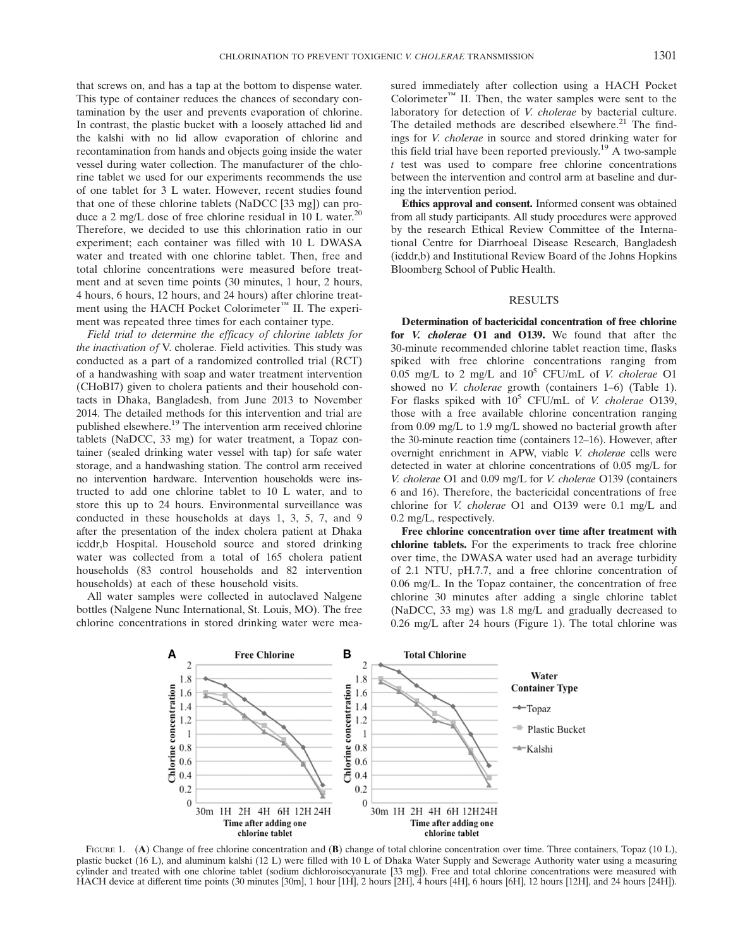that screws on, and has a tap at the bottom to dispense water. This type of container reduces the chances of secondary contamination by the user and prevents evaporation of chlorine. In contrast, the plastic bucket with a loosely attached lid and the kalshi with no lid allow evaporation of chlorine and recontamination from hands and objects going inside the water vessel during water collection. The manufacturer of the chlorine tablet we used for our experiments recommends the use of one tablet for 3 L water. However, recent studies found that one of these chlorine tablets (NaDCC [33 mg]) can produce a 2 mg/L dose of free chlorine residual in 10 L water.<sup>20</sup> Therefore, we decided to use this chlorination ratio in our experiment; each container was filled with 10 L DWASA water and treated with one chlorine tablet. Then, free and total chlorine concentrations were measured before treatment and at seven time points (30 minutes, 1 hour, 2 hours, 4 hours, 6 hours, 12 hours, and 24 hours) after chlorine treatment using the HACH Pocket Colorimeter™ II. The experiment was repeated three times for each container type.

Field trial to determine the efficacy of chlorine tablets for the inactivation of V. cholerae. Field activities. This study was conducted as a part of a randomized controlled trial (RCT) of a handwashing with soap and water treatment intervention (CHoBI7) given to cholera patients and their household contacts in Dhaka, Bangladesh, from June 2013 to November 2014. The detailed methods for this intervention and trial are published elsewhere.19 The intervention arm received chlorine tablets (NaDCC, 33 mg) for water treatment, a Topaz container (sealed drinking water vessel with tap) for safe water storage, and a handwashing station. The control arm received no intervention hardware. Intervention households were instructed to add one chlorine tablet to 10 L water, and to store this up to 24 hours. Environmental surveillance was conducted in these households at days 1, 3, 5, 7, and 9 after the presentation of the index cholera patient at Dhaka icddr,b Hospital. Household source and stored drinking water was collected from a total of 165 cholera patient households (83 control households and 82 intervention households) at each of these household visits.

All water samples were collected in autoclaved Nalgene bottles (Nalgene Nunc International, St. Louis, MO). The free chlorine concentrations in stored drinking water were measured immediately after collection using a HACH Pocket Colorimeter<sup>™</sup> II. Then, the water samples were sent to the laboratory for detection of V. cholerae by bacterial culture. The detailed methods are described elsewhere. $21$  The findings for V. cholerae in source and stored drinking water for this field trial have been reported previously.<sup>19</sup> A two-sample  $t$  test was used to compare free chlorine concentrations between the intervention and control arm at baseline and during the intervention period.

Ethics approval and consent. Informed consent was obtained from all study participants. All study procedures were approved by the research Ethical Review Committee of the International Centre for Diarrhoeal Disease Research, Bangladesh (icddr,b) and Institutional Review Board of the Johns Hopkins Bloomberg School of Public Health.

#### RESULTS

Determination of bactericidal concentration of free chlorine for *V. cholerae* O1 and O139. We found that after the 30-minute recommended chlorine tablet reaction time, flasks spiked with free chlorine concentrations ranging from 0.05 mg/L to 2 mg/L and  $10^5$  CFU/mL of *V. cholerae* O1 showed no *V. cholerae* growth (containers 1–6) (Table 1). For flasks spiked with  $10^5$  CFU/mL of *V. cholerae* O139, those with a free available chlorine concentration ranging from 0.09 mg/L to 1.9 mg/L showed no bacterial growth after the 30-minute reaction time (containers 12–16). However, after overnight enrichment in APW, viable V. cholerae cells were detected in water at chlorine concentrations of 0.05 mg/L for V. cholerae O1 and 0.09 mg/L for V. cholerae O139 (containers 6 and 16). Therefore, the bactericidal concentrations of free chlorine for V. cholerae O1 and O139 were 0.1 mg/L and 0.2 mg/L, respectively.

Free chlorine concentration over time after treatment with chlorine tablets. For the experiments to track free chlorine over time, the DWASA water used had an average turbidity of 2.1 NTU, pH.7.7, and a free chlorine concentration of 0.06 mg/L. In the Topaz container, the concentration of free chlorine 30 minutes after adding a single chlorine tablet (NaDCC, 33 mg) was 1.8 mg/L and gradually decreased to 0.26 mg/L after 24 hours (Figure 1). The total chlorine was



FIGURE 1. (A) Change of free chlorine concentration and (B) change of total chlorine concentration over time. Three containers, Topaz (10 L), plastic bucket (16 L), and aluminum kalshi (12 L) were filled with 10 L of Dhaka Water Supply and Sewerage Authority water using a measuring cylinder and treated with one chlorine tablet (sodium dichloroisocyanurate [33 mg]). Free and total chlorine concentrations were measured with HACH device at different time points (30 minutes [30m], 1 hour [1H], 2 hours [2H], 4 hours [4H], 6 hours [6H], 12 hours [12H], and 24 hours [24H]).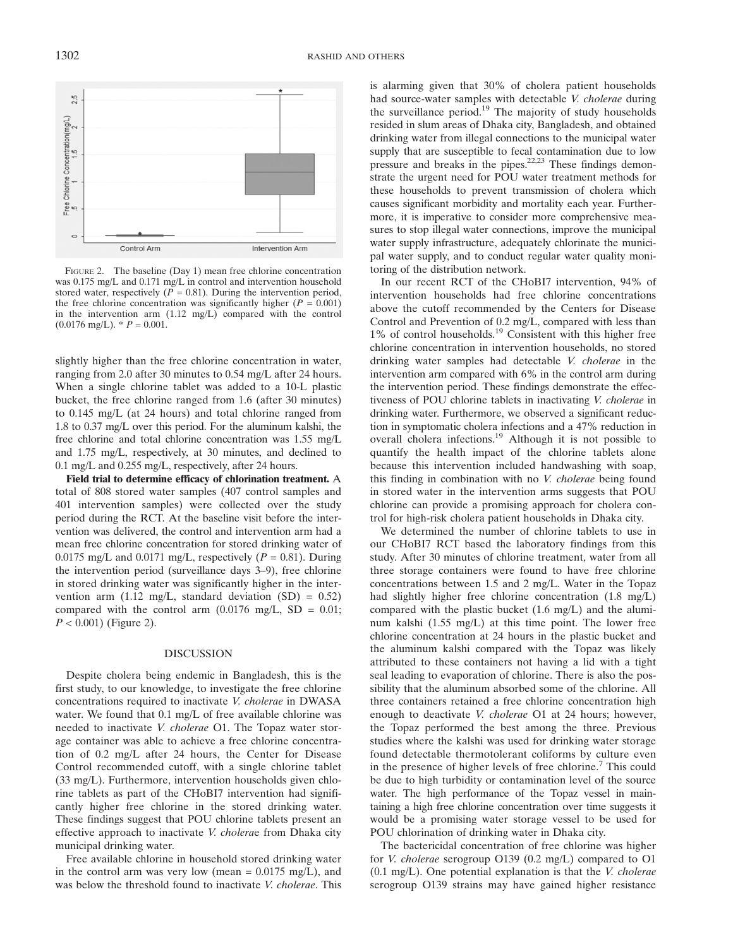

FIGURE 2. The baseline (Day 1) mean free chlorine concentration was 0.175 mg/L and 0.171 mg/L in control and intervention household stored water, respectively ( $P = 0.81$ ). During the intervention period, the free chlorine concentration was significantly higher ( $P = 0.001$ ) in the intervention arm (1.12 mg/L) compared with the control  $(0.0176 \text{ mg/L})$ . \*  $P = 0.001$ .

slightly higher than the free chlorine concentration in water, ranging from 2.0 after 30 minutes to 0.54 mg/L after 24 hours. When a single chlorine tablet was added to a 10-L plastic bucket, the free chlorine ranged from 1.6 (after 30 minutes) to 0.145 mg/L (at 24 hours) and total chlorine ranged from 1.8 to 0.37 mg/L over this period. For the aluminum kalshi, the free chlorine and total chlorine concentration was 1.55 mg/L and 1.75 mg/L, respectively, at 30 minutes, and declined to 0.1 mg/L and 0.255 mg/L, respectively, after 24 hours.

Field trial to determine efficacy of chlorination treatment. A total of 808 stored water samples (407 control samples and 401 intervention samples) were collected over the study period during the RCT. At the baseline visit before the intervention was delivered, the control and intervention arm had a mean free chlorine concentration for stored drinking water of 0.0175 mg/L and 0.0171 mg/L, respectively ( $P = 0.81$ ). During the intervention period (surveillance days 3–9), free chlorine in stored drinking water was significantly higher in the intervention arm (1.12 mg/L, standard deviation  $(SD) = 0.52$ ) compared with the control arm  $(0.0176 \text{ mg/L}, SD = 0.01;$  $P < 0.001$ ) (Figure 2).

#### DISCUSSION

Despite cholera being endemic in Bangladesh, this is the first study, to our knowledge, to investigate the free chlorine concentrations required to inactivate V. cholerae in DWASA water. We found that 0.1 mg/L of free available chlorine was needed to inactivate V. cholerae O1. The Topaz water storage container was able to achieve a free chlorine concentration of 0.2 mg/L after 24 hours, the Center for Disease Control recommended cutoff, with a single chlorine tablet (33 mg/L). Furthermore, intervention households given chlorine tablets as part of the CHoBI7 intervention had significantly higher free chlorine in the stored drinking water. These findings suggest that POU chlorine tablets present an effective approach to inactivate *V. cholera*e from Dhaka city municipal drinking water.

Free available chlorine in household stored drinking water in the control arm was very low (mean  $= 0.0175$  mg/L), and was below the threshold found to inactivate V. cholerae. This

is alarming given that 30% of cholera patient households had source-water samples with detectable V. cholerae during the surveillance period.<sup>19</sup> The majority of study households resided in slum areas of Dhaka city, Bangladesh, and obtained drinking water from illegal connections to the municipal water supply that are susceptible to fecal contamination due to low pressure and breaks in the pipes.<sup>22,23</sup> These findings demonstrate the urgent need for POU water treatment methods for these households to prevent transmission of cholera which causes significant morbidity and mortality each year. Furthermore, it is imperative to consider more comprehensive measures to stop illegal water connections, improve the municipal water supply infrastructure, adequately chlorinate the municipal water supply, and to conduct regular water quality monitoring of the distribution network.

In our recent RCT of the CHoBI7 intervention, 94% of intervention households had free chlorine concentrations above the cutoff recommended by the Centers for Disease Control and Prevention of 0.2 mg/L, compared with less than 1% of control households.<sup>19</sup> Consistent with this higher free chlorine concentration in intervention households, no stored drinking water samples had detectable V. cholerae in the intervention arm compared with 6% in the control arm during the intervention period. These findings demonstrate the effectiveness of POU chlorine tablets in inactivating V. cholerae in drinking water. Furthermore, we observed a significant reduction in symptomatic cholera infections and a 47% reduction in overall cholera infections.<sup>19</sup> Although it is not possible to quantify the health impact of the chlorine tablets alone because this intervention included handwashing with soap, this finding in combination with no V. cholerae being found in stored water in the intervention arms suggests that POU chlorine can provide a promising approach for cholera control for high-risk cholera patient households in Dhaka city.

We determined the number of chlorine tablets to use in our CHoBI7 RCT based the laboratory findings from this study. After 30 minutes of chlorine treatment, water from all three storage containers were found to have free chlorine concentrations between 1.5 and 2 mg/L. Water in the Topaz had slightly higher free chlorine concentration (1.8 mg/L) compared with the plastic bucket (1.6 mg/L) and the aluminum kalshi (1.55 mg/L) at this time point. The lower free chlorine concentration at 24 hours in the plastic bucket and the aluminum kalshi compared with the Topaz was likely attributed to these containers not having a lid with a tight seal leading to evaporation of chlorine. There is also the possibility that the aluminum absorbed some of the chlorine. All three containers retained a free chlorine concentration high enough to deactivate V. cholerae O1 at 24 hours; however, the Topaz performed the best among the three. Previous studies where the kalshi was used for drinking water storage found detectable thermotolerant coliforms by culture even in the presence of higher levels of free chlorine.<sup>7</sup> This could be due to high turbidity or contamination level of the source water. The high performance of the Topaz vessel in maintaining a high free chlorine concentration over time suggests it would be a promising water storage vessel to be used for POU chlorination of drinking water in Dhaka city.

The bactericidal concentration of free chlorine was higher for V. cholerae serogroup O139 (0.2 mg/L) compared to O1  $(0.1 \text{ mg/L})$ . One potential explanation is that the *V. cholerae* serogroup O139 strains may have gained higher resistance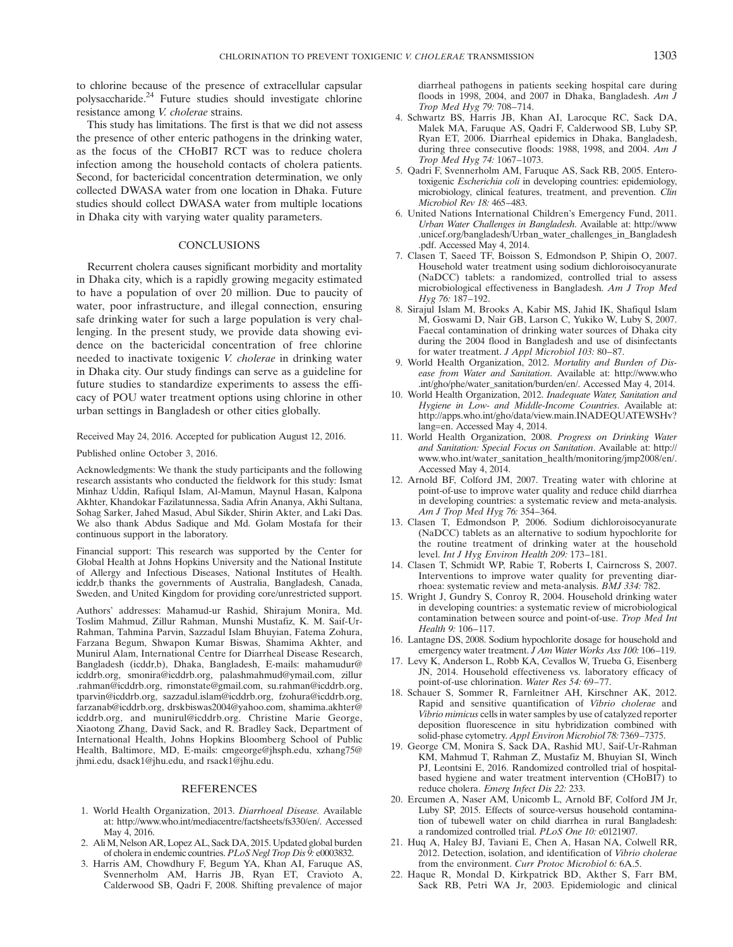to chlorine because of the presence of extracellular capsular polysaccharide.24 Future studies should investigate chlorine resistance among V. cholerae strains.

This study has limitations. The first is that we did not assess the presence of other enteric pathogens in the drinking water, as the focus of the CHoBI7 RCT was to reduce cholera infection among the household contacts of cholera patients. Second, for bactericidal concentration determination, we only collected DWASA water from one location in Dhaka. Future studies should collect DWASA water from multiple locations in Dhaka city with varying water quality parameters.

## **CONCLUSIONS**

Recurrent cholera causes significant morbidity and mortality in Dhaka city, which is a rapidly growing megacity estimated to have a population of over 20 million. Due to paucity of water, poor infrastructure, and illegal connection, ensuring safe drinking water for such a large population is very challenging. In the present study, we provide data showing evidence on the bactericidal concentration of free chlorine needed to inactivate toxigenic V. cholerae in drinking water in Dhaka city. Our study findings can serve as a guideline for future studies to standardize experiments to assess the efficacy of POU water treatment options using chlorine in other urban settings in Bangladesh or other cities globally.

Received May 24, 2016. Accepted for publication August 12, 2016.

Published online October 3, 2016.

Acknowledgments: We thank the study participants and the following research assistants who conducted the fieldwork for this study: Ismat Minhaz Uddin, Rafiqul Islam, Al-Mamun, Maynul Hasan, Kalpona Akhter, Khandokar Fazilatunnessa, Sadia Afrin Ananya, Akhi Sultana, Sohag Sarker, Jahed Masud, Abul Sikder, Shirin Akter, and Laki Das. We also thank Abdus Sadique and Md. Golam Mostafa for their continuous support in the laboratory.

Financial support: This research was supported by the Center for Global Health at Johns Hopkins University and the National Institute of Allergy and Infectious Diseases, National Institutes of Health. icddr,b thanks the governments of Australia, Bangladesh, Canada, Sweden, and United Kingdom for providing core/unrestricted support.

Authors' addresses: Mahamud-ur Rashid, Shirajum Monira, Md. Toslim Mahmud, Zillur Rahman, Munshi Mustafiz, K. M. Saif-Ur-Rahman, Tahmina Parvin, Sazzadul Islam Bhuyian, Fatema Zohura, Farzana Begum, Shwapon Kumar Biswas, Shamima Akhter, and Munirul Alam, International Centre for Diarrheal Disease Research, Bangladesh (icddr,b), Dhaka, Bangladesh, E-mails: mahamudur@ icddrb.org, smonira@icddrb.org, palashmahmud@ymail.com, zillur .rahman@icddrb.org, rimonstate@gmail.com, su.rahman@icddrb.org, tparvin@icddrb.org, sazzadul.islam@icddrb.org, fzohura@icddrb.org, farzanab@icddrb.org, drskbiswas2004@yahoo.com, shamima.akhter@ icddrb.org, and munirul@icddrb.org. Christine Marie George, Xiaotong Zhang, David Sack, and R. Bradley Sack, Department of International Health, Johns Hopkins Bloomberg School of Public Health, Baltimore, MD, E-mails: cmgeorge@jhsph.edu, xzhang75@ jhmi.edu, dsack1@jhu.edu, and rsack1@jhu.edu.

### REFERENCES

- 1. World Health Organization, 2013. Diarrhoeal Disease. Available at: http://www.who.int/mediacentre/factsheets/fs330/en/. Accessed May 4, 2016.
- 2. Ali M, Nelson AR, Lopez AL, Sack DA, 2015. Updated global burden of cholera in endemic countries.PLoS Negl Trop Dis 9: e0003832.
- 3. Harris AM, Chowdhury F, Begum YA, Khan AI, Faruque AS, Svennerholm AM, Harris JB, Ryan ET, Cravioto A, Calderwood SB, Qadri F, 2008. Shifting prevalence of major

diarrheal pathogens in patients seeking hospital care during floods in 1998, 2004, and 2007 in Dhaka, Bangladesh. Am J Trop Med Hyg 79: 708–714.

- 4. Schwartz BS, Harris JB, Khan AI, Larocque RC, Sack DA, Malek MA, Faruque AS, Qadri F, Calderwood SB, Luby SP, Ryan ET, 2006. Diarrheal epidemics in Dhaka, Bangladesh, during three consecutive floods: 1988, 1998, and 2004. Am J Trop Med Hyg 74: 1067–1073.
- 5. Qadri F, Svennerholm AM, Faruque AS, Sack RB, 2005. Enterotoxigenic Escherichia coli in developing countries: epidemiology, microbiology, clinical features, treatment, and prevention. Clin Microbiol Rev 18: 465–483.
- 6. United Nations International Children's Emergency Fund, 2011. Urban Water Challenges in Bangladesh. Available at: http://www .unicef.org/bangladesh/Urban\_water\_challenges\_in\_Bangladesh .pdf. Accessed May 4, 2014.
- 7. Clasen T, Saeed TF, Boisson S, Edmondson P, Shipin O, 2007. Household water treatment using sodium dichloroisocyanurate (NaDCC) tablets: a randomized, controlled trial to assess microbiological effectiveness in Bangladesh. Am J Trop Med Hyg 76: 187–192.
- 8. Sirajul Islam M, Brooks A, Kabir MS, Jahid IK, Shafiqul Islam M, Goswami D, Nair GB, Larson C, Yukiko W, Luby S, 2007. Faecal contamination of drinking water sources of Dhaka city during the 2004 flood in Bangladesh and use of disinfectants for water treatment. J Appl Microbiol 103: 80–87.
- 9. World Health Organization, 2012. Mortality and Burden of Disease from Water and Sanitation. Available at: http://www.who .int/gho/phe/water\_sanitation/burden/en/. Accessed May 4, 2014.
- 10. World Health Organization, 2012. Inadequate Water, Sanitation and Hygiene in Low- and Middle-Income Countries. Available at: http://apps.who.int/gho/data/view.main.INADEQUATEWSHv? lang=en. Accessed May 4, 2014.
- 11. World Health Organization, 2008. Progress on Drinking Water and Sanitation: Special Focus on Sanitation. Available at: http:// www.who.int/water\_sanitation\_health/monitoring/jmp2008/en/. Accessed May 4, 2014.
- 12. Arnold BF, Colford JM, 2007. Treating water with chlorine at point-of-use to improve water quality and reduce child diarrhea in developing countries: a systematic review and meta-analysis. Am J Trop Med Hyg 76: 354–364.
- 13. Clasen T, Edmondson P, 2006. Sodium dichloroisocyanurate (NaDCC) tablets as an alternative to sodium hypochlorite for the routine treatment of drinking water at the household level. Int J Hyg Environ Health 209: 173–181.
- 14. Clasen T, Schmidt WP, Rabie T, Roberts I, Cairncross S, 2007. Interventions to improve water quality for preventing diarrhoea: systematic review and meta-analysis. BMJ 334: 782.
- 15. Wright J, Gundry S, Conroy R, 2004. Household drinking water in developing countries: a systematic review of microbiological contamination between source and point-of-use. Trop Med Int Health 9: 106–117.
- 16. Lantagne DS, 2008. Sodium hypochlorite dosage for household and emergency water treatment. J Am Water Works Ass 100: 106-119.
- 17. Levy K, Anderson L, Robb KA, Cevallos W, Trueba G, Eisenberg JN, 2014. Household effectiveness vs. laboratory efficacy of point-of-use chlorination. Water Res 54: 69–77.
- 18. Schauer S, Sommer R, Farnleitner AH, Kirschner AK, 2012. Rapid and sensitive quantification of Vibrio cholerae and Vibrio mimicus cells in water samples by use of catalyzed reporter deposition fluorescence in situ hybridization combined with solid-phase cytometry. Appl Environ Microbiol 78: 7369–7375.
- 19. George CM, Monira S, Sack DA, Rashid MU, Saif-Ur-Rahman KM, Mahmud T, Rahman Z, Mustafiz M, Bhuyian SI, Winch PJ, Leontsini E, 2016. Randomized controlled trial of hospitalbased hygiene and water treatment intervention (CHoBI7) to reduce cholera. Emerg Infect Dis 22: 233.
- 20. Ercumen A, Naser AM, Unicomb L, Arnold BF, Colford JM Jr, Luby SP, 2015. Effects of source-versus household contamination of tubewell water on child diarrhea in rural Bangladesh: a randomized controlled trial. PLoS One 10: e0121907.
- 21. Huq A, Haley BJ, Taviani E, Chen A, Hasan NA, Colwell RR, 2012. Detection, isolation, and identification of Vibrio cholerae from the environment. Curr Protoc Microbiol 6: 6A.5.
- 22. Haque R, Mondal D, Kirkpatrick BD, Akther S, Farr BM, Sack RB, Petri WA Jr, 2003. Epidemiologic and clinical